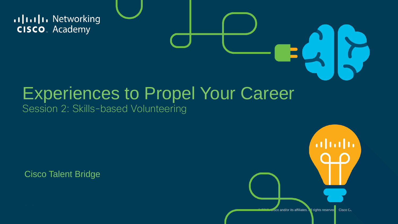allalla Networking **CISCO**. Academy

### Experiences to Propel Your Career

Session 2: Skills-based Volunteering

Cisco Talent Bridge

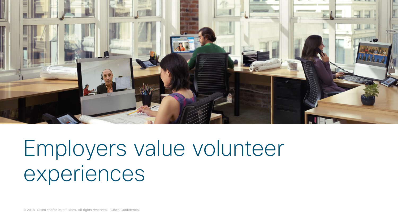

## Employers value volunteer experiences

© 2018 Cisco and/or its affiliates. All rights reserved. Cisco Confidential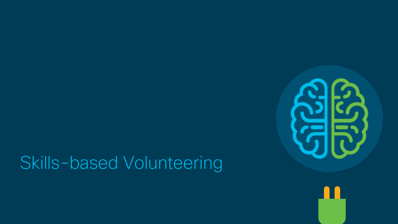### Skills-based Volunteering



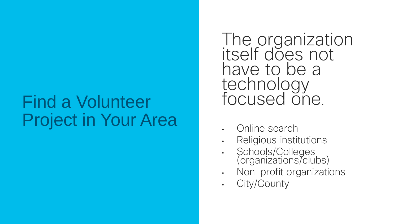#### Find a Volunteer Project in Your Area

The organization itself does not have to be a technology focused one.

- Online search
- Religious institutions
- Schools/Colleges (organizations/clubs)
- Non-profit organizations
- City/County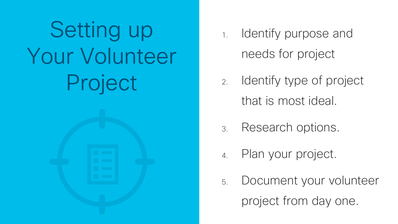Setting up Your Volunteer Project



- 1. Identify purpose and needs for project
- 2. Identify type of project that is most ideal.
- 3. Research options.
- Plan your project.
- 5. Document your volunteer project from day one.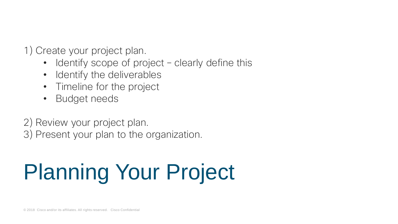1) Create your project plan.

- Identify scope of project clearly define this
- Identify the deliverables
- Timeline for the project
- Budget needs

2) Review your project plan.

3) Present your plan to the organization.

# Planning Your Project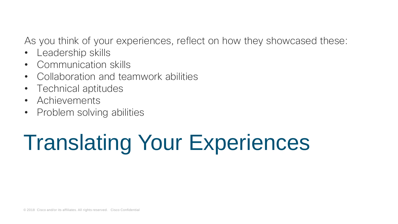As you think of your experiences, reflect on how they showcased these:

- Leadership skills
- Communication skills
- Collaboration and teamwork abilities
- Technical aptitudes
- Achievements
- Problem solving abilities

# Translating Your Experiences